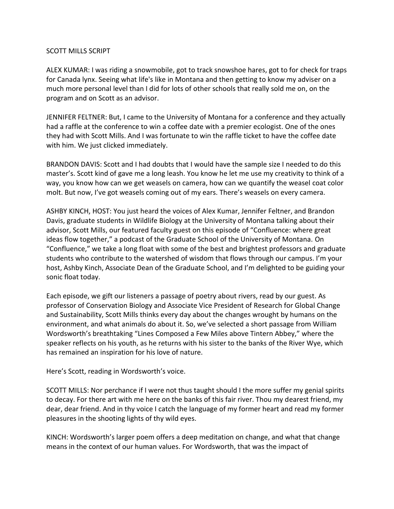### SCOTT MILLS SCRIPT

ALEX KUMAR: I was riding a snowmobile, got to track snowshoe hares, got to for check for traps for Canada lynx. Seeing what life's like in Montana and then getting to know my adviser on a much more personal level than I did for lots of other schools that really sold me on, on the program and on Scott as an advisor.

JENNIFER FELTNER: But, I came to the University of Montana for a conference and they actually had a raffle at the conference to win a coffee date with a premier ecologist. One of the ones they had with Scott Mills. And I was fortunate to win the raffle ticket to have the coffee date with him. We just clicked immediately.

BRANDON DAVIS: Scott and I had doubts that I would have the sample size I needed to do this master's. Scott kind of gave me a long leash. You know he let me use my creativity to think of a way, you know how can we get weasels on camera, how can we quantify the weasel coat color molt. But now, I've got weasels coming out of my ears. There's weasels on every camera.

ASHBY KINCH, HOST: You just heard the voices of Alex Kumar, Jennifer Feltner, and Brandon Davis, graduate students in Wildlife Biology at the University of Montana talking about their advisor, Scott Mills, our featured faculty guest on this episode of "Confluence: where great ideas flow together," a podcast of the Graduate School of the University of Montana. On "Confluence," we take a long float with some of the best and brightest professors and graduate students who contribute to the watershed of wisdom that flows through our campus. I'm your host, Ashby Kinch, Associate Dean of the Graduate School, and I'm delighted to be guiding your sonic float today.

Each episode, we gift our listeners a passage of poetry about rivers, read by our guest. As professor of Conservation Biology and Associate Vice President of Research for Global Change and Sustainability, Scott Mills thinks every day about the changes wrought by humans on the environment, and what animals do about it. So, we've selected a short passage from William Wordsworth's breathtaking "Lines Composed a Few Miles above Tintern Abbey," where the speaker reflects on his youth, as he returns with his sister to the banks of the River Wye, which has remained an inspiration for his love of nature.

Here's Scott, reading in Wordsworth's voice.

SCOTT MILLS: Nor perchance if I were not thus taught should I the more suffer my genial spirits to decay. For there art with me here on the banks of this fair river. Thou my dearest friend, my dear, dear friend. And in thy voice I catch the language of my former heart and read my former pleasures in the shooting lights of thy wild eyes.

KINCH: Wordsworth's larger poem offers a deep meditation on change, and what that change means in the context of our human values. For Wordsworth, that was the impact of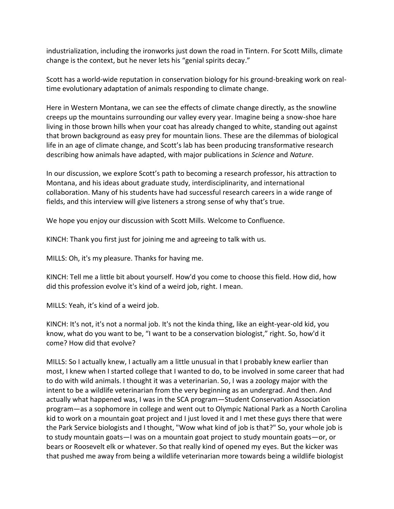industrialization, including the ironworks just down the road in Tintern. For Scott Mills, climate change is the context, but he never lets his "genial spirits decay."

Scott has a world-wide reputation in conservation biology for his ground-breaking work on realtime evolutionary adaptation of animals responding to climate change.

Here in Western Montana, we can see the effects of climate change directly, as the snowline creeps up the mountains surrounding our valley every year. Imagine being a snow-shoe hare living in those brown hills when your coat has already changed to white, standing out against that brown background as easy prey for mountain lions. These are the dilemmas of biological life in an age of climate change, and Scott's lab has been producing transformative research describing how animals have adapted, with major publications in *Science* and *Nature*.

In our discussion, we explore Scott's path to becoming a research professor, his attraction to Montana, and his ideas about graduate study, interdisciplinarity, and international collaboration. Many of his students have had successful research careers in a wide range of fields, and this interview will give listeners a strong sense of why that's true.

We hope you enjoy our discussion with Scott Mills. Welcome to Confluence.

KINCH: Thank you first just for joining me and agreeing to talk with us.

MILLS: Oh, it's my pleasure. Thanks for having me.

KINCH: Tell me a little bit about yourself. How'd you come to choose this field. How did, how did this profession evolve it's kind of a weird job, right. I mean.

MILLS: Yeah, it's kind of a weird job.

KINCH: It's not, it's not a normal job. It's not the kinda thing, like an eight-year-old kid, you know, what do you want to be, "I want to be a conservation biologist," right. So, how'd it come? How did that evolve?

MILLS: So I actually knew, I actually am a little unusual in that I probably knew earlier than most, I knew when I started college that I wanted to do, to be involved in some career that had to do with wild animals. I thought it was a veterinarian. So, I was a zoology major with the intent to be a wildlife veterinarian from the very beginning as an undergrad. And then. And actually what happened was, I was in the SCA program—Student Conservation Association program—as a sophomore in college and went out to Olympic National Park as a North Carolina kid to work on a mountain goat project and I just loved it and I met these guys there that were the Park Service biologists and I thought, "Wow what kind of job is that?" So, your whole job is to study mountain goats—I was on a mountain goat project to study mountain goats—or, or bears or Roosevelt elk or whatever. So that really kind of opened my eyes. But the kicker was that pushed me away from being a wildlife veterinarian more towards being a wildlife biologist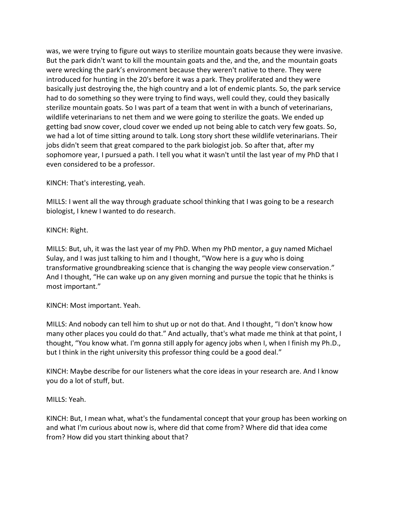was, we were trying to figure out ways to sterilize mountain goats because they were invasive. But the park didn't want to kill the mountain goats and the, and the, and the mountain goats were wrecking the park's environment because they weren't native to there. They were introduced for hunting in the 20's before it was a park. They proliferated and they were basically just destroying the, the high country and a lot of endemic plants. So, the park service had to do something so they were trying to find ways, well could they, could they basically sterilize mountain goats. So I was part of a team that went in with a bunch of veterinarians, wildlife veterinarians to net them and we were going to sterilize the goats. We ended up getting bad snow cover, cloud cover we ended up not being able to catch very few goats. So, we had a lot of time sitting around to talk. Long story short these wildlife veterinarians. Their jobs didn't seem that great compared to the park biologist job. So after that, after my sophomore year, I pursued a path. I tell you what it wasn't until the last year of my PhD that I even considered to be a professor.

KINCH: That's interesting, yeah.

MILLS: I went all the way through graduate school thinking that I was going to be a research biologist, I knew I wanted to do research.

KINCH: Right.

MILLS: But, uh, it was the last year of my PhD. When my PhD mentor, a guy named Michael Sulay, and I was just talking to him and I thought, "Wow here is a guy who is doing transformative groundbreaking science that is changing the way people view conservation." And I thought, "He can wake up on any given morning and pursue the topic that he thinks is most important."

KINCH: Most important. Yeah.

MILLS: And nobody can tell him to shut up or not do that. And I thought, "I don't know how many other places you could do that." And actually, that's what made me think at that point, I thought, "You know what. I'm gonna still apply for agency jobs when I, when I finish my Ph.D., but I think in the right university this professor thing could be a good deal."

KINCH: Maybe describe for our listeners what the core ideas in your research are. And I know you do a lot of stuff, but.

# MILLS: Yeah.

KINCH: But, I mean what, what's the fundamental concept that your group has been working on and what I'm curious about now is, where did that come from? Where did that idea come from? How did you start thinking about that?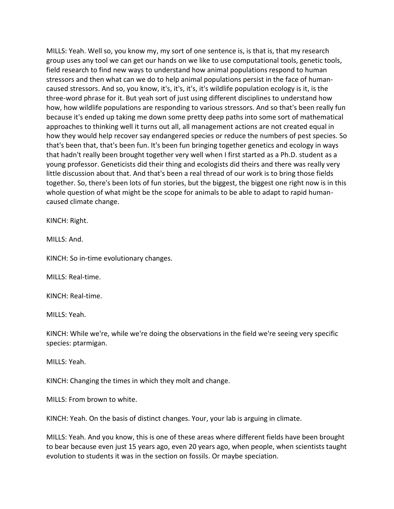MILLS: Yeah. Well so, you know my, my sort of one sentence is, is that is, that my research group uses any tool we can get our hands on we like to use computational tools, genetic tools, field research to find new ways to understand how animal populations respond to human stressors and then what can we do to help animal populations persist in the face of humancaused stressors. And so, you know, it's, it's, it's, it's wildlife population ecology is it, is the three-word phrase for it. But yeah sort of just using different disciplines to understand how how, how wildlife populations are responding to various stressors. And so that's been really fun because it's ended up taking me down some pretty deep paths into some sort of mathematical approaches to thinking well it turns out all, all management actions are not created equal in how they would help recover say endangered species or reduce the numbers of pest species. So that's been that, that's been fun. It's been fun bringing together genetics and ecology in ways that hadn't really been brought together very well when I first started as a Ph.D. student as a young professor. Geneticists did their thing and ecologists did theirs and there was really very little discussion about that. And that's been a real thread of our work is to bring those fields together. So, there's been lots of fun stories, but the biggest, the biggest one right now is in this whole question of what might be the scope for animals to be able to adapt to rapid humancaused climate change.

KINCH: Right.

MILLS: And.

KINCH: So in-time evolutionary changes.

MILLS: Real-time.

KINCH: Real-time.

MILLS: Yeah.

KINCH: While we're, while we're doing the observations in the field we're seeing very specific species: ptarmigan.

MILLS: Yeah.

KINCH: Changing the times in which they molt and change.

MILLS: From brown to white.

KINCH: Yeah. On the basis of distinct changes. Your, your lab is arguing in climate.

MILLS: Yeah. And you know, this is one of these areas where different fields have been brought to bear because even just 15 years ago, even 20 years ago, when people, when scientists taught evolution to students it was in the section on fossils. Or maybe speciation.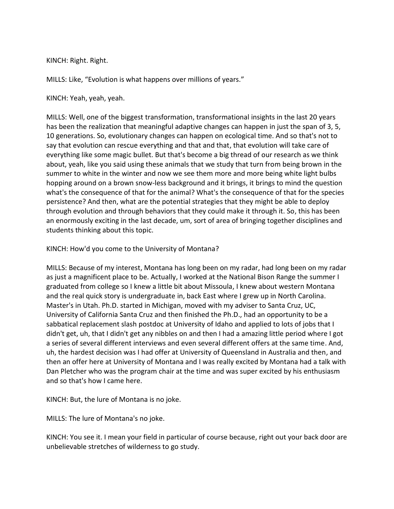KINCH: Right. Right.

MILLS: Like, "Evolution is what happens over millions of years."

KINCH: Yeah, yeah, yeah.

MILLS: Well, one of the biggest transformation, transformational insights in the last 20 years has been the realization that meaningful adaptive changes can happen in just the span of 3, 5, 10 generations. So, evolutionary changes can happen on ecological time. And so that's not to say that evolution can rescue everything and that and that, that evolution will take care of everything like some magic bullet. But that's become a big thread of our research as we think about, yeah, like you said using these animals that we study that turn from being brown in the summer to white in the winter and now we see them more and more being white light bulbs hopping around on a brown snow-less background and it brings, it brings to mind the question what's the consequence of that for the animal? What's the consequence of that for the species persistence? And then, what are the potential strategies that they might be able to deploy through evolution and through behaviors that they could make it through it. So, this has been an enormously exciting in the last decade, um, sort of area of bringing together disciplines and students thinking about this topic.

KINCH: How'd you come to the University of Montana?

MILLS: Because of my interest, Montana has long been on my radar, had long been on my radar as just a magnificent place to be. Actually, I worked at the National Bison Range the summer I graduated from college so I knew a little bit about Missoula, I knew about western Montana and the real quick story is undergraduate in, back East where I grew up in North Carolina. Master's in Utah. Ph.D. started in Michigan, moved with my adviser to Santa Cruz, UC, University of California Santa Cruz and then finished the Ph.D., had an opportunity to be a sabbatical replacement slash postdoc at University of Idaho and applied to lots of jobs that I didn't get, uh, that I didn't get any nibbles on and then I had a amazing little period where I got a series of several different interviews and even several different offers at the same time. And, uh, the hardest decision was I had offer at University of Queensland in Australia and then, and then an offer here at University of Montana and I was really excited by Montana had a talk with Dan Pletcher who was the program chair at the time and was super excited by his enthusiasm and so that's how I came here.

KINCH: But, the lure of Montana is no joke.

MILLS: The lure of Montana's no joke.

KINCH: You see it. I mean your field in particular of course because, right out your back door are unbelievable stretches of wilderness to go study.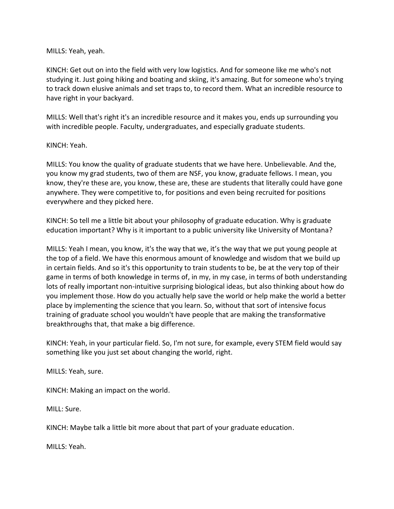### MILLS: Yeah, yeah.

KINCH: Get out on into the field with very low logistics. And for someone like me who's not studying it. Just going hiking and boating and skiing, it's amazing. But for someone who's trying to track down elusive animals and set traps to, to record them. What an incredible resource to have right in your backyard.

MILLS: Well that's right it's an incredible resource and it makes you, ends up surrounding you with incredible people. Faculty, undergraduates, and especially graduate students.

### KINCH: Yeah.

MILLS: You know the quality of graduate students that we have here. Unbelievable. And the, you know my grad students, two of them are NSF, you know, graduate fellows. I mean, you know, they're these are, you know, these are, these are students that literally could have gone anywhere. They were competitive to, for positions and even being recruited for positions everywhere and they picked here.

KINCH: So tell me a little bit about your philosophy of graduate education. Why is graduate education important? Why is it important to a public university like University of Montana?

MILLS: Yeah I mean, you know, it's the way that we, it's the way that we put young people at the top of a field. We have this enormous amount of knowledge and wisdom that we build up in certain fields. And so it's this opportunity to train students to be, be at the very top of their game in terms of both knowledge in terms of, in my, in my case, in terms of both understanding lots of really important non-intuitive surprising biological ideas, but also thinking about how do you implement those. How do you actually help save the world or help make the world a better place by implementing the science that you learn. So, without that sort of intensive focus training of graduate school you wouldn't have people that are making the transformative breakthroughs that, that make a big difference.

KINCH: Yeah, in your particular field. So, I'm not sure, for example, every STEM field would say something like you just set about changing the world, right.

MILLS: Yeah, sure.

KINCH: Making an impact on the world.

MILL: Sure.

KINCH: Maybe talk a little bit more about that part of your graduate education.

MILLS: Yeah.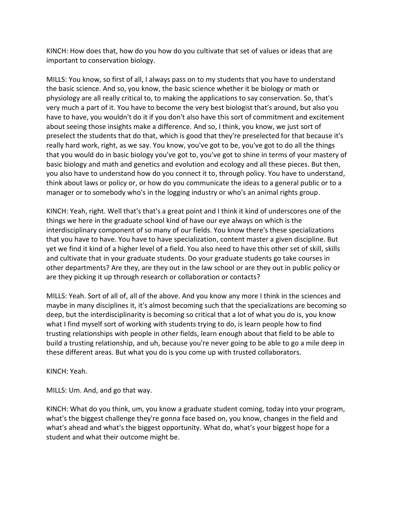KINCH: How does that, how do you how do you cultivate that set of values or ideas that are important to conservation biology.

MILLS: You know, so first of all, I always pass on to my students that you have to understand the basic science. And so, you know, the basic science whether it be biology or math or physiology are all really critical to, to making the applications to say conservation. So, that's very much a part of it. You have to become the very best biologist that's around, but also you have to have, you wouldn't do it if you don't also have this sort of commitment and excitement about seeing those insights make a difference. And so, I think, you know, we just sort of preselect the students that do that, which is good that they're preselected for that because it's really hard work, right, as we say. You know, you've got to be, you've got to do all the things that you would do in basic biology you've got to, you've got to shine in terms of your mastery of basic biology and math and genetics and evolution and ecology and all these pieces. But then, you also have to understand how do you connect it to, through policy. You have to understand, think about laws or policy or, or how do you communicate the ideas to a general public or to a manager or to somebody who's in the logging industry or who's an animal rights group.

KINCH: Yeah, right. Well that's that's a great point and I think it kind of underscores one of the things we here in the graduate school kind of have our eye always on which is the interdisciplinary component of so many of our fields. You know there's these specializations that you have to have. You have to have specialization, content master a given discipline. But yet we find it kind of a higher level of a field. You also need to have this other set of skill, skills and cultivate that in your graduate students. Do your graduate students go take courses in other departments? Are they, are they out in the law school or are they out in public policy or are they picking it up through research or collaboration or contacts?

MILLS: Yeah. Sort of all of, all of the above. And you know any more I think in the sciences and maybe in many disciplines it, it's almost becoming such that the specializations are becoming so deep, but the interdisciplinarity is becoming so critical that a lot of what you do is, you know what I find myself sort of working with students trying to do, is learn people how to find trusting relationships with people in other fields, learn enough about that field to be able to build a trusting relationship, and uh, because you're never going to be able to go a mile deep in these different areas. But what you do is you come up with trusted collaborators.

KINCH: Yeah.

MILLS: Um. And, and go that way.

KINCH: What do you think, um, you know a graduate student coming, today into your program, what's the biggest challenge they're gonna face based on, you know, changes in the field and what's ahead and what's the biggest opportunity. What do, what's your biggest hope for a student and what their outcome might be.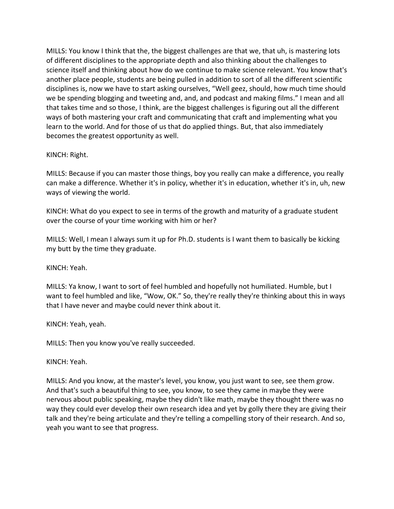MILLS: You know I think that the, the biggest challenges are that we, that uh, is mastering lots of different disciplines to the appropriate depth and also thinking about the challenges to science itself and thinking about how do we continue to make science relevant. You know that's another place people, students are being pulled in addition to sort of all the different scientific disciplines is, now we have to start asking ourselves, "Well geez, should, how much time should we be spending blogging and tweeting and, and, and podcast and making films." I mean and all that takes time and so those, I think, are the biggest challenges is figuring out all the different ways of both mastering your craft and communicating that craft and implementing what you learn to the world. And for those of us that do applied things. But, that also immediately becomes the greatest opportunity as well.

### KINCH: Right.

MILLS: Because if you can master those things, boy you really can make a difference, you really can make a difference. Whether it's in policy, whether it's in education, whether it's in, uh, new ways of viewing the world.

KINCH: What do you expect to see in terms of the growth and maturity of a graduate student over the course of your time working with him or her?

MILLS: Well, I mean I always sum it up for Ph.D. students is I want them to basically be kicking my butt by the time they graduate.

KINCH: Yeah.

MILLS: Ya know, I want to sort of feel humbled and hopefully not humiliated. Humble, but I want to feel humbled and like, "Wow, OK." So, they're really they're thinking about this in ways that I have never and maybe could never think about it.

KINCH: Yeah, yeah.

MILLS: Then you know you've really succeeded.

KINCH: Yeah.

MILLS: And you know, at the master's level, you know, you just want to see, see them grow. And that's such a beautiful thing to see, you know, to see they came in maybe they were nervous about public speaking, maybe they didn't like math, maybe they thought there was no way they could ever develop their own research idea and yet by golly there they are giving their talk and they're being articulate and they're telling a compelling story of their research. And so, yeah you want to see that progress.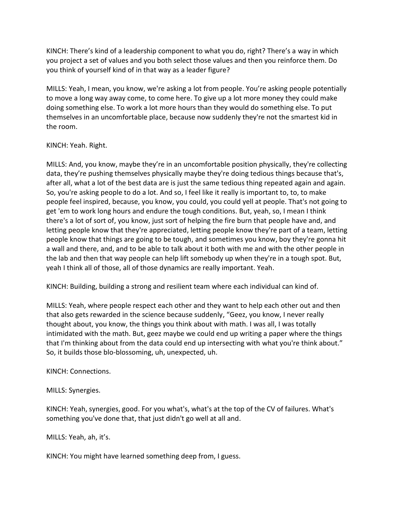KINCH: There's kind of a leadership component to what you do, right? There's a way in which you project a set of values and you both select those values and then you reinforce them. Do you think of yourself kind of in that way as a leader figure?

MILLS: Yeah, I mean, you know, we're asking a lot from people. You're asking people potentially to move a long way away come, to come here. To give up a lot more money they could make doing something else. To work a lot more hours than they would do something else. To put themselves in an uncomfortable place, because now suddenly they're not the smartest kid in the room.

# KINCH: Yeah. Right.

MILLS: And, you know, maybe they're in an uncomfortable position physically, they're collecting data, they're pushing themselves physically maybe they're doing tedious things because that's, after all, what a lot of the best data are is just the same tedious thing repeated again and again. So, you're asking people to do a lot. And so, I feel like it really is important to, to, to make people feel inspired, because, you know, you could, you could yell at people. That's not going to get 'em to work long hours and endure the tough conditions. But, yeah, so, I mean I think there's a lot of sort of, you know, just sort of helping the fire burn that people have and, and letting people know that they're appreciated, letting people know they're part of a team, letting people know that things are going to be tough, and sometimes you know, boy they're gonna hit a wall and there, and, and to be able to talk about it both with me and with the other people in the lab and then that way people can help lift somebody up when they're in a tough spot. But, yeah I think all of those, all of those dynamics are really important. Yeah.

KINCH: Building, building a strong and resilient team where each individual can kind of.

MILLS: Yeah, where people respect each other and they want to help each other out and then that also gets rewarded in the science because suddenly, "Geez, you know, I never really thought about, you know, the things you think about with math. I was all, I was totally intimidated with the math. But, geez maybe we could end up writing a paper where the things that I'm thinking about from the data could end up intersecting with what you're think about." So, it builds those blo-blossoming, uh, unexpected, uh.

KINCH: Connections.

MILLS: Synergies.

KINCH: Yeah, synergies, good. For you what's, what's at the top of the CV of failures. What's something you've done that, that just didn't go well at all and.

MILLS: Yeah, ah, it's.

KINCH: You might have learned something deep from, I guess.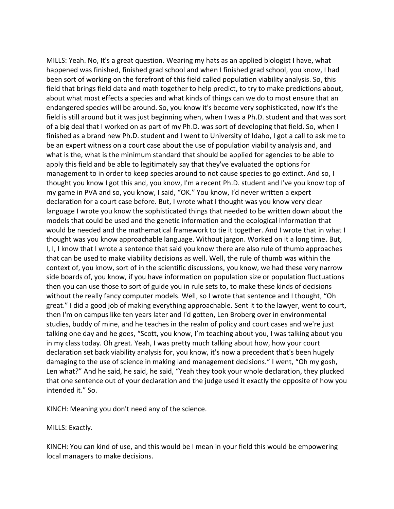MILLS: Yeah. No, It's a great question. Wearing my hats as an applied biologist I have, what happened was finished, finished grad school and when I finished grad school, you know, I had been sort of working on the forefront of this field called population viability analysis. So, this field that brings field data and math together to help predict, to try to make predictions about, about what most effects a species and what kinds of things can we do to most ensure that an endangered species will be around. So, you know it's become very sophisticated, now it's the field is still around but it was just beginning when, when I was a Ph.D. student and that was sort of a big deal that I worked on as part of my Ph.D. was sort of developing that field. So, when I finished as a brand new Ph.D. student and I went to University of Idaho, I got a call to ask me to be an expert witness on a court case about the use of population viability analysis and, and what is the, what is the minimum standard that should be applied for agencies to be able to apply this field and be able to legitimately say that they've evaluated the options for management to in order to keep species around to not cause species to go extinct. And so, I thought you know I got this and, you know, I'm a recent Ph.D. student and I've you know top of my game in PVA and so, you know, I said, "OK." You know, I'd never written a expert declaration for a court case before. But, I wrote what I thought was you know very clear language I wrote you know the sophisticated things that needed to be written down about the models that could be used and the genetic information and the ecological information that would be needed and the mathematical framework to tie it together. And I wrote that in what I thought was you know approachable language. Without jargon. Worked on it a long time. But, I, I, I know that I wrote a sentence that said you know there are also rule of thumb approaches that can be used to make viability decisions as well. Well, the rule of thumb was within the context of, you know, sort of in the scientific discussions, you know, we had these very narrow side boards of, you know, if you have information on population size or population fluctuations then you can use those to sort of guide you in rule sets to, to make these kinds of decisions without the really fancy computer models. Well, so I wrote that sentence and I thought, "Oh great." I did a good job of making everything approachable. Sent it to the lawyer, went to court, then I'm on campus like ten years later and I'd gotten, Len Broberg over in environmental studies, buddy of mine, and he teaches in the realm of policy and court cases and we're just talking one day and he goes, "Scott, you know, I'm teaching about you, I was talking about you in my class today. Oh great. Yeah, I was pretty much talking about how, how your court declaration set back viability analysis for, you know, it's now a precedent that's been hugely damaging to the use of science in making land management decisions." I went, "Oh my gosh, Len what?" And he said, he said, he said, "Yeah they took your whole declaration, they plucked that one sentence out of your declaration and the judge used it exactly the opposite of how you intended it." So.

KINCH: Meaning you don't need any of the science.

MILLS: Exactly.

KINCH: You can kind of use, and this would be I mean in your field this would be empowering local managers to make decisions.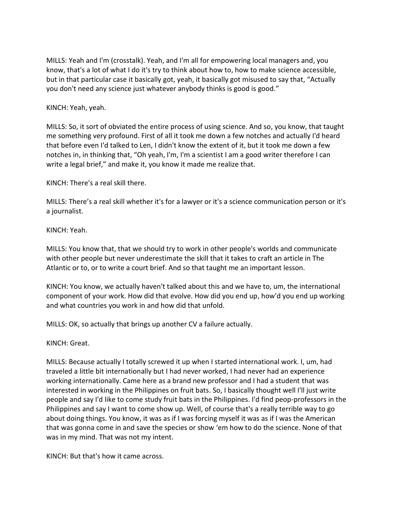MILLS: Yeah and I'm (crosstalk). Yeah, and I'm all for empowering local managers and, you know, that's a lot of what I do it's try to think about how to, how to make science accessible, but in that particular case it basically got, yeah, it basically got misused to say that, "Actually you don't need any science just whatever anybody thinks is good is good."

KINCH: Yeah, yeah.

MILLS: So, it sort of obviated the entire process of using science. And so, you know, that taught me something very profound. First of all it took me down a few notches and actually I'd heard that before even I'd talked to Len, I didn't know the extent of it, but it took me down a few notches in, in thinking that, "Oh yeah, I'm, I'm a scientist I am a good writer therefore I can write a legal brief," and make it, you know it made me realize that.

KINCH: There's a real skill there.

MILLS: There's a real skill whether it's for a lawyer or it's a science communication person or it's a journalist.

KINCH: Yeah.

MILLS: You know that, that we should try to work in other people's worlds and communicate with other people but never underestimate the skill that it takes to craft an article in The Atlantic or to, or to write a court brief. And so that taught me an important lesson.

KINCH: You know, we actually haven't talked about this and we have to, um, the international component of your work. How did that evolve. How did you end up, how'd you end up working and what countries you work in and how did that unfold.

MILLS: OK, so actually that brings up another CV a failure actually.

KINCH: Great.

MILLS: Because actually I totally screwed it up when I started international work. I, um, had traveled a little bit internationally but I had never worked, I had never had an experience working internationally. Came here as a brand new professor and I had a student that was interested in working in the Philippines on fruit bats. So, I basically thought well I'll just write people and say I'd like to come study fruit bats in the Philippines. I'd find peop-professors in the Philippines and say I want to come show up. Well, of course that's a really terrible way to go about doing things. You know, it was as if I was forcing myself it was as if I was the American that was gonna come in and save the species or show 'em how to do the science. None of that was in my mind. That was not my intent.

KINCH: But that's how it came across.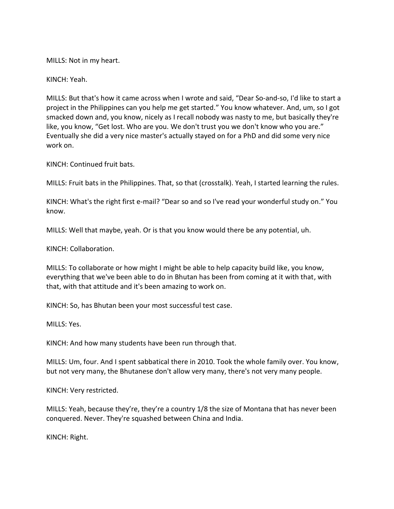MILLS: Not in my heart.

KINCH: Yeah.

MILLS: But that's how it came across when I wrote and said, "Dear So-and-so, I'd like to start a project in the Philippines can you help me get started." You know whatever. And, um, so I got smacked down and, you know, nicely as I recall nobody was nasty to me, but basically they're like, you know, "Get lost. Who are you. We don't trust you we don't know who you are." Eventually she did a very nice master's actually stayed on for a PhD and did some very nice work on.

KINCH: Continued fruit bats.

MILLS: Fruit bats in the Philippines. That, so that (crosstalk). Yeah, I started learning the rules.

KINCH: What's the right first e-mail? "Dear so and so I've read your wonderful study on." You know.

MILLS: Well that maybe, yeah. Or is that you know would there be any potential, uh.

KINCH: Collaboration.

MILLS: To collaborate or how might I might be able to help capacity build like, you know, everything that we've been able to do in Bhutan has been from coming at it with that, with that, with that attitude and it's been amazing to work on.

KINCH: So, has Bhutan been your most successful test case.

MILLS: Yes.

KINCH: And how many students have been run through that.

MILLS: Um, four. And I spent sabbatical there in 2010. Took the whole family over. You know, but not very many, the Bhutanese don't allow very many, there's not very many people.

KINCH: Very restricted.

MILLS: Yeah, because they're, they're a country 1/8 the size of Montana that has never been conquered. Never. They're squashed between China and India.

KINCH: Right.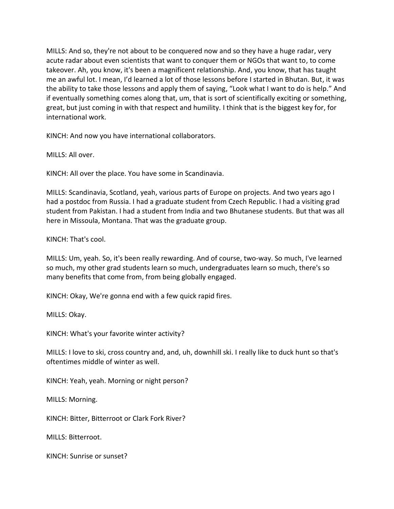MILLS: And so, they're not about to be conquered now and so they have a huge radar, very acute radar about even scientists that want to conquer them or NGOs that want to, to come takeover. Ah, you know, it's been a magnificent relationship. And, you know, that has taught me an awful lot. I mean, I'd learned a lot of those lessons before I started in Bhutan. But, it was the ability to take those lessons and apply them of saying, "Look what I want to do is help." And if eventually something comes along that, um, that is sort of scientifically exciting or something, great, but just coming in with that respect and humility. I think that is the biggest key for, for international work.

KINCH: And now you have international collaborators.

MILLS: All over.

KINCH: All over the place. You have some in Scandinavia.

MILLS: Scandinavia, Scotland, yeah, various parts of Europe on projects. And two years ago I had a postdoc from Russia. I had a graduate student from Czech Republic. I had a visiting grad student from Pakistan. I had a student from India and two Bhutanese students. But that was all here in Missoula, Montana. That was the graduate group.

KINCH: That's cool.

MILLS: Um, yeah. So, it's been really rewarding. And of course, two-way. So much, I've learned so much, my other grad students learn so much, undergraduates learn so much, there's so many benefits that come from, from being globally engaged.

KINCH: Okay, We're gonna end with a few quick rapid fires.

MILLS: Okay.

KINCH: What's your favorite winter activity?

MILLS: I love to ski, cross country and, and, uh, downhill ski. I really like to duck hunt so that's oftentimes middle of winter as well.

KINCH: Yeah, yeah. Morning or night person?

MILLS: Morning.

KINCH: Bitter, Bitterroot or Clark Fork River?

MILLS: Bitterroot.

KINCH: Sunrise or sunset?